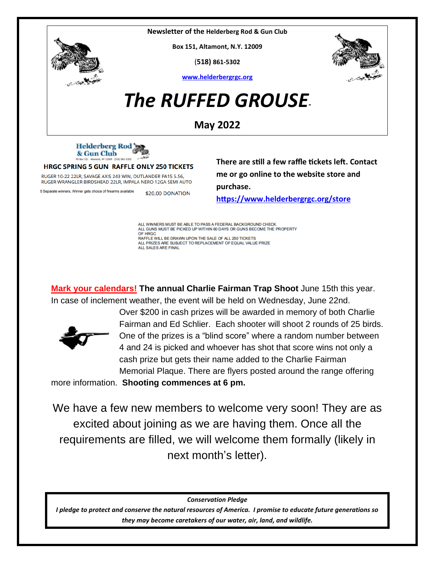**Newsletter of the Helderberg Rod & Gun Club**



**Box 151, Altamont, N.Y. 12009**

(**518) 861-5302**



**[www.helderbergrgc.org](http://www.helderbergrgc.org/)**

# *The RUFFED GROUSE***-**

**May 2022**



#### **HRGC SPRING 5 GUN RAFFLE ONLY 250 TICKETS**

RUGER 10-22 22LR, SAVAGE AXIS 243 WIN, OUTLANDER PA15 5.56, RUGER WRANGLER BIRDSHEAD 22LR, IMPALA NERO 12GA SEMI AUTO

eparate winners, Winner gets choice of firearms available \$20.00 DONATION **There are still a few raffle tickets left. Contact me or go online to the website store and purchase. <https://www.helderbergrgc.org/store>**

ALL WINNERS MUST BE ABLE TO PASS A FEDERAL BACKGROUND CHECK. ALL GUNS MUST BE PICKED UP WITHIN 60 DAYS OR GUNS BECOME THE PROPERTY OF HRGC RAFFLE WILL BE DRAWN UPON THE SALE OF ALL 250 TICKETS ALL PRIZES ARE SUBJECT TO REPLACEMENT OF EQUAL VALUE PRIZE ALL SALES ARE FINAL

**Mark your calendars! The annual Charlie Fairman Trap Shoot** June 15th this year. In case of inclement weather, the event will be held on Wednesday, June 22nd.



Over \$200 in cash prizes will be awarded in memory of both Charlie Fairman and Ed Schlier. Each shooter will shoot 2 rounds of 25 birds. One of the prizes is a "blind score" where a random number between 4 and 24 is picked and whoever has shot that score wins not only a cash prize but gets their name added to the Charlie Fairman Memorial Plaque. There are flyers posted around the range offering

more information. **Shooting commences at 6 pm.**

We have a few new members to welcome very soon! They are as excited about joining as we are having them. Once all the requirements are filled, we will welcome them formally (likely in next month's letter).

*Conservation Pledge*

*I pledge to protect and conserve the natural resources of America. I promise to educate future generations so they may become caretakers of our water, air, land, and wildlife.*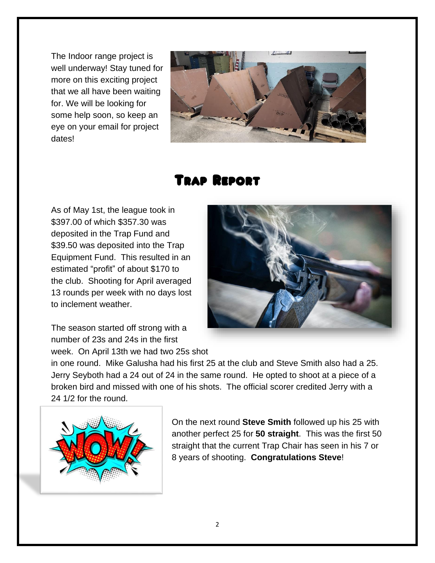The Indoor range project is well underway! Stay tuned for more on this exciting project that we all have been waiting for. We will be looking for some help soon, so keep an eye on your email for project dates!



# Trap Report

As of May 1st, the league took in \$397.00 of which \$357.30 was deposited in the Trap Fund and \$39.50 was deposited into the Trap Equipment Fund. This resulted in an estimated "profit" of about \$170 to the club. Shooting for April averaged 13 rounds per week with no days lost to inclement weather.



The season started off strong with a number of 23s and 24s in the first week. On April 13th we had two 25s shot

in one round. Mike Galusha had his first 25 at the club and Steve Smith also had a 25. Jerry Seyboth had a 24 out of 24 in the same round. He opted to shoot at a piece of a broken bird and missed with one of his shots. The official scorer credited Jerry with a 24 1/2 for the round.



On the next round **Steve Smith** followed up his 25 with another perfect 25 for **50 straight**. This was the first 50 straight that the current Trap Chair has seen in his 7 or 8 years of shooting. **Congratulations Steve**!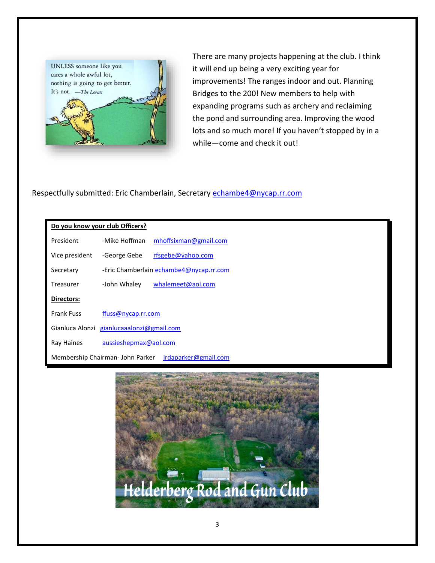

There are many projects happening at the club. I think it will end up being a very exciting year for improvements! The ranges indoor and out. Planning Bridges to the 200! New members to help with expanding programs such as archery and reclaiming the pond and surrounding area. Improving the wood lots and so much more! If you haven't stopped by in a while—come and check it out!

Respectfully submitted: Eric Chamberlain, Secretary [echambe4@nycap.rr.com](mailto:echambe4@nycap.rr.com)

#### **Do you know your club Officers?**

| President                                                | -Mike Hoffman             | mhoffsixman@gmail.com                   |  |
|----------------------------------------------------------|---------------------------|-----------------------------------------|--|
| Vice president                                           | -George Gebe              | rfsgebe@yahoo.com                       |  |
| Secretary                                                |                           | -Eric Chamberlain echambe4@nycap.rr.com |  |
| Treasurer                                                | -John Whaley              | whalemeet@aol.com                       |  |
| <b>Directors:</b>                                        |                           |                                         |  |
| <b>Frank Fuss</b>                                        | ffuss@nycap.rr.com        |                                         |  |
| Gianluca Alonzi                                          | gianlucaaalonzi@gmail.com |                                         |  |
| Ray Haines                                               | aussieshepmax@aol.com     |                                         |  |
| Membership Chairman- John Parker<br>jrdaparker@gmail.com |                           |                                         |  |